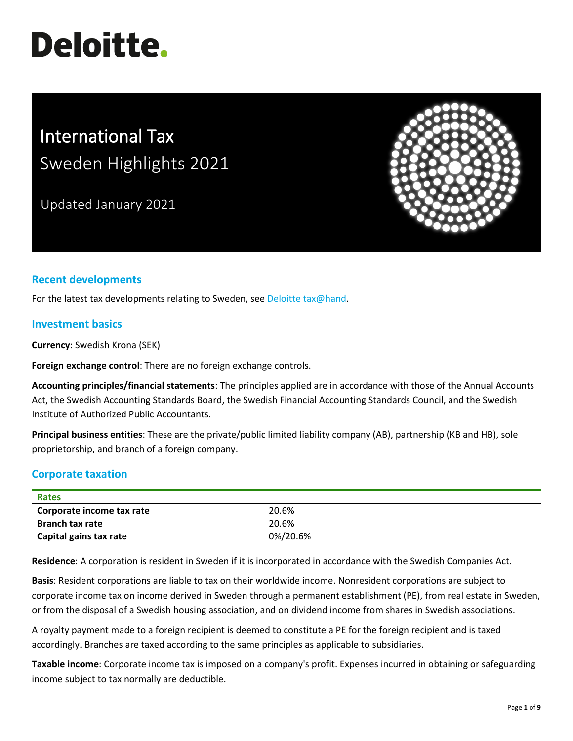# **Deloitte.**

# International Tax Sweden Highlights 2021

Updated January 2021



# **Recent developments**

For the latest tax developments relating to Sweden, se[e Deloitte tax@hand.](https://www.taxathand.com/world-news/Sweden)

# **Investment basics**

**Currency**: Swedish Krona (SEK)

**Foreign exchange control**: There are no foreign exchange controls.

**Accounting principles/financial statements**: The principles applied are in accordance with those of the Annual Accounts Act, the Swedish Accounting Standards Board, the Swedish Financial Accounting Standards Council, and the Swedish Institute of Authorized Public Accountants.

**Principal business entities**: These are the private/public limited liability company (AB), partnership (KB and HB), sole proprietorship, and branch of a foreign company.

# **Corporate taxation**

| Rates                     |          |  |
|---------------------------|----------|--|
| Corporate income tax rate | 20.6%    |  |
| <b>Branch tax rate</b>    | 20.6%    |  |
| Capital gains tax rate    | 0%/20.6% |  |

**Residence**: A corporation is resident in Sweden if it is incorporated in accordance with the Swedish Companies Act.

**Basis**: Resident corporations are liable to tax on their worldwide income. Nonresident corporations are subject to corporate income tax on income derived in Sweden through a permanent establishment (PE), from real estate in Sweden, or from the disposal of a Swedish housing association, and on dividend income from shares in Swedish associations.

A royalty payment made to a foreign recipient is deemed to constitute a PE for the foreign recipient and is taxed accordingly. Branches are taxed according to the same principles as applicable to subsidiaries.

**Taxable income**: Corporate income tax is imposed on a company's profit. Expenses incurred in obtaining or safeguarding income subject to tax normally are deductible.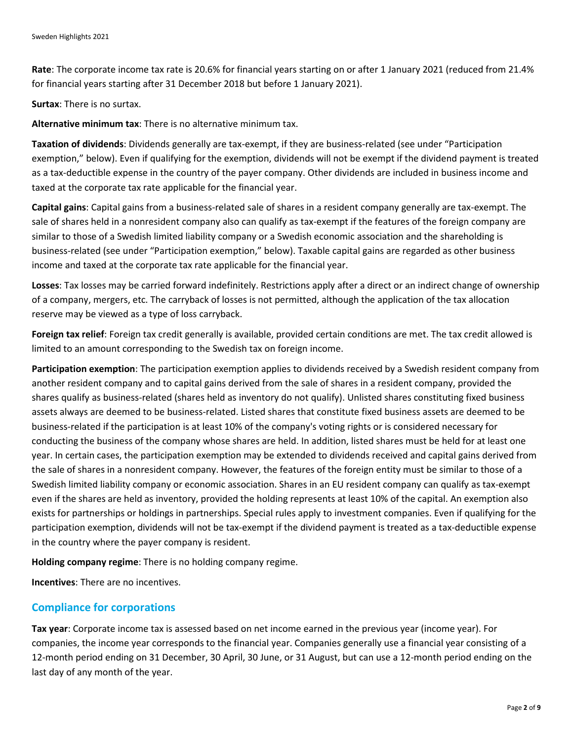**Rate**: The corporate income tax rate is 20.6% for financial years starting on or after 1 January 2021 (reduced from 21.4% for financial years starting after 31 December 2018 but before 1 January 2021).

**Surtax**: There is no surtax.

**Alternative minimum tax**: There is no alternative minimum tax.

**Taxation of dividends**: Dividends generally are tax-exempt, if they are business-related (see under "Participation exemption," below). Even if qualifying for the exemption, dividends will not be exempt if the dividend payment is treated as a tax-deductible expense in the country of the payer company. Other dividends are included in business income and taxed at the corporate tax rate applicable for the financial year.

**Capital gains**: Capital gains from a business-related sale of shares in a resident company generally are tax-exempt. The sale of shares held in a nonresident company also can qualify as tax-exempt if the features of the foreign company are similar to those of a Swedish limited liability company or a Swedish economic association and the shareholding is business-related (see under "Participation exemption," below). Taxable capital gains are regarded as other business income and taxed at the corporate tax rate applicable for the financial year.

**Losses**: Tax losses may be carried forward indefinitely. Restrictions apply after a direct or an indirect change of ownership of a company, mergers, etc. The carryback of losses is not permitted, although the application of the tax allocation reserve may be viewed as a type of loss carryback.

**Foreign tax relief**: Foreign tax credit generally is available, provided certain conditions are met. The tax credit allowed is limited to an amount corresponding to the Swedish tax on foreign income.

**Participation exemption**: The participation exemption applies to dividends received by a Swedish resident company from another resident company and to capital gains derived from the sale of shares in a resident company, provided the shares qualify as business-related (shares held as inventory do not qualify). Unlisted shares constituting fixed business assets always are deemed to be business-related. Listed shares that constitute fixed business assets are deemed to be business-related if the participation is at least 10% of the company's voting rights or is considered necessary for conducting the business of the company whose shares are held. In addition, listed shares must be held for at least one year. In certain cases, the participation exemption may be extended to dividends received and capital gains derived from the sale of shares in a nonresident company. However, the features of the foreign entity must be similar to those of a Swedish limited liability company or economic association. Shares in an EU resident company can qualify as tax-exempt even if the shares are held as inventory, provided the holding represents at least 10% of the capital. An exemption also exists for partnerships or holdings in partnerships. Special rules apply to investment companies. Even if qualifying for the participation exemption, dividends will not be tax-exempt if the dividend payment is treated as a tax-deductible expense in the country where the payer company is resident.

**Holding company regime**: There is no holding company regime.

**Incentives**: There are no incentives.

# **Compliance for corporations**

**Tax year**: Corporate income tax is assessed based on net income earned in the previous year (income year). For companies, the income year corresponds to the financial year. Companies generally use a financial year consisting of a 12-month period ending on 31 December, 30 April, 30 June, or 31 August, but can use a 12-month period ending on the last day of any month of the year.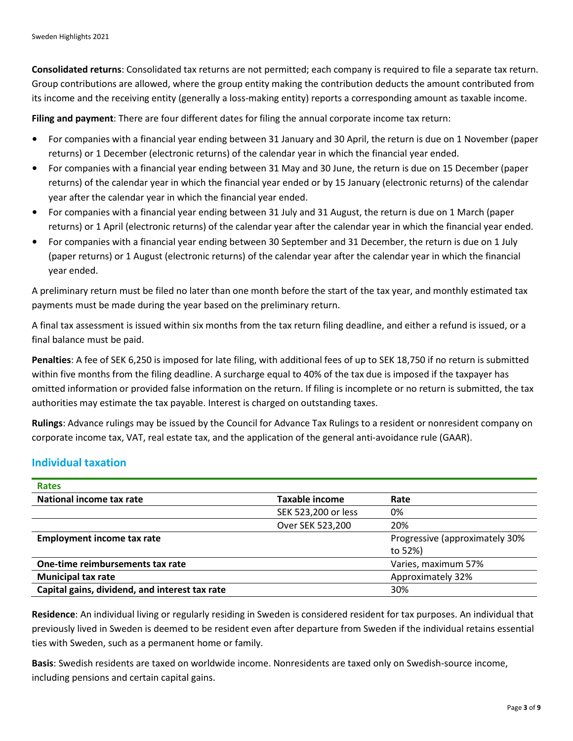**Consolidated returns**: Consolidated tax returns are not permitted; each company is required to file a separate tax return. Group contributions are allowed, where the group entity making the contribution deducts the amount contributed from its income and the receiving entity (generally a loss-making entity) reports a corresponding amount as taxable income.

**Filing and payment**: There are four different dates for filing the annual corporate income tax return:

- For companies with a financial year ending between 31 January and 30 April, the return is due on 1 November (paper returns) or 1 December (electronic returns) of the calendar year in which the financial year ended.
- For companies with a financial year ending between 31 May and 30 June, the return is due on 15 December (paper returns) of the calendar year in which the financial year ended or by 15 January (electronic returns) of the calendar year after the calendar year in which the financial year ended.
- For companies with a financial year ending between 31 July and 31 August, the return is due on 1 March (paper returns) or 1 April (electronic returns) of the calendar year after the calendar year in which the financial year ended.
- For companies with a financial year ending between 30 September and 31 December, the return is due on 1 July (paper returns) or 1 August (electronic returns) of the calendar year after the calendar year in which the financial year ended.

A preliminary return must be filed no later than one month before the start of the tax year, and monthly estimated tax payments must be made during the year based on the preliminary return.

A final tax assessment is issued within six months from the tax return filing deadline, and either a refund is issued, or a final balance must be paid.

**Penalties**: A fee of SEK 6,250 is imposed for late filing, with additional fees of up to SEK 18,750 if no return is submitted within five months from the filing deadline. A surcharge equal to 40% of the tax due is imposed if the taxpayer has omitted information or provided false information on the return. If filing is incomplete or no return is submitted, the tax authorities may estimate the tax payable. Interest is charged on outstanding taxes.

**Rulings**: Advance rulings may be issued by the Council for Advance Tax Rulings to a resident or nonresident company on corporate income tax, VAT, real estate tax, and the application of the general anti-avoidance rule (GAAR).

# **Individual taxation**

| <b>Rates</b>                                   |                     |                                |
|------------------------------------------------|---------------------|--------------------------------|
| National income tax rate                       | Taxable income      | Rate                           |
|                                                | SEK 523,200 or less | 0%                             |
|                                                | Over SEK 523,200    | 20%                            |
| <b>Employment income tax rate</b>              |                     | Progressive (approximately 30% |
|                                                |                     | to 52%)                        |
| One-time reimbursements tax rate               |                     | Varies, maximum 57%            |
| <b>Municipal tax rate</b>                      |                     | Approximately 32%              |
| Capital gains, dividend, and interest tax rate |                     | 30%                            |

**Residence**: An individual living or regularly residing in Sweden is considered resident for tax purposes. An individual that previously lived in Sweden is deemed to be resident even after departure from Sweden if the individual retains essential ties with Sweden, such as a permanent home or family.

**Basis**: Swedish residents are taxed on worldwide income. Nonresidents are taxed only on Swedish-source income, including pensions and certain capital gains.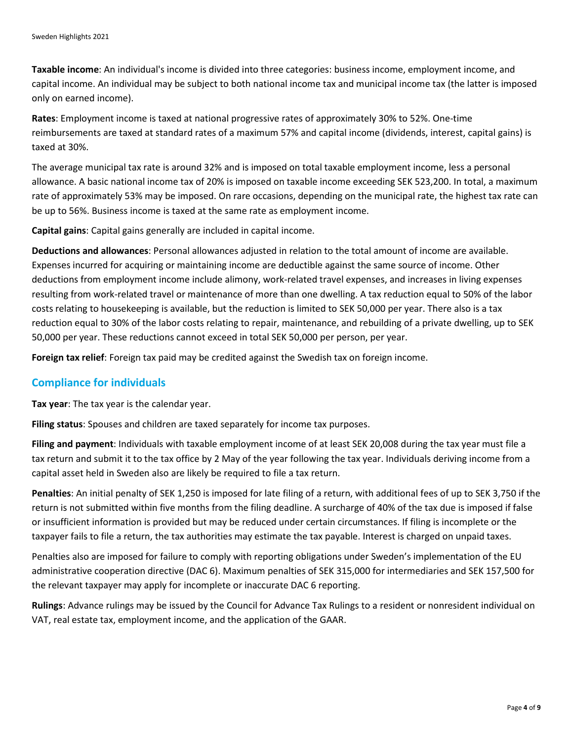**Taxable income**: An individual's income is divided into three categories: business income, employment income, and capital income. An individual may be subject to both national income tax and municipal income tax (the latter is imposed only on earned income).

**Rates**: Employment income is taxed at national progressive rates of approximately 30% to 52%. One-time reimbursements are taxed at standard rates of a maximum 57% and capital income (dividends, interest, capital gains) is taxed at 30%.

The average municipal tax rate is around 32% and is imposed on total taxable employment income, less a personal allowance. A basic national income tax of 20% is imposed on taxable income exceeding SEK 523,200. In total, a maximum rate of approximately 53% may be imposed. On rare occasions, depending on the municipal rate, the highest tax rate can be up to 56%. Business income is taxed at the same rate as employment income.

**Capital gains**: Capital gains generally are included in capital income.

**Deductions and allowances**: Personal allowances adjusted in relation to the total amount of income are available. Expenses incurred for acquiring or maintaining income are deductible against the same source of income. Other deductions from employment income include alimony, work-related travel expenses, and increases in living expenses resulting from work-related travel or maintenance of more than one dwelling. A tax reduction equal to 50% of the labor costs relating to housekeeping is available, but the reduction is limited to SEK 50,000 per year. There also is a tax reduction equal to 30% of the labor costs relating to repair, maintenance, and rebuilding of a private dwelling, up to SEK 50,000 per year. These reductions cannot exceed in total SEK 50,000 per person, per year.

**Foreign tax relief**: Foreign tax paid may be credited against the Swedish tax on foreign income.

#### **Compliance for individuals**

**Tax year**: The tax year is the calendar year.

**Filing status**: Spouses and children are taxed separately for income tax purposes.

**Filing and payment**: Individuals with taxable employment income of at least SEK 20,008 during the tax year must file a tax return and submit it to the tax office by 2 May of the year following the tax year. Individuals deriving income from a capital asset held in Sweden also are likely be required to file a tax return.

**Penalties**: An initial penalty of SEK 1,250 is imposed for late filing of a return, with additional fees of up to SEK 3,750 if the return is not submitted within five months from the filing deadline. A surcharge of 40% of the tax due is imposed if false or insufficient information is provided but may be reduced under certain circumstances. If filing is incomplete or the taxpayer fails to file a return, the tax authorities may estimate the tax payable. Interest is charged on unpaid taxes.

Penalties also are imposed for failure to comply with reporting obligations under Sweden's implementation of the EU administrative cooperation directive (DAC 6). Maximum penalties of SEK 315,000 for intermediaries and SEK 157,500 for the relevant taxpayer may apply for incomplete or inaccurate DAC 6 reporting.

**Rulings**: Advance rulings may be issued by the Council for Advance Tax Rulings to a resident or nonresident individual on VAT, real estate tax, employment income, and the application of the GAAR.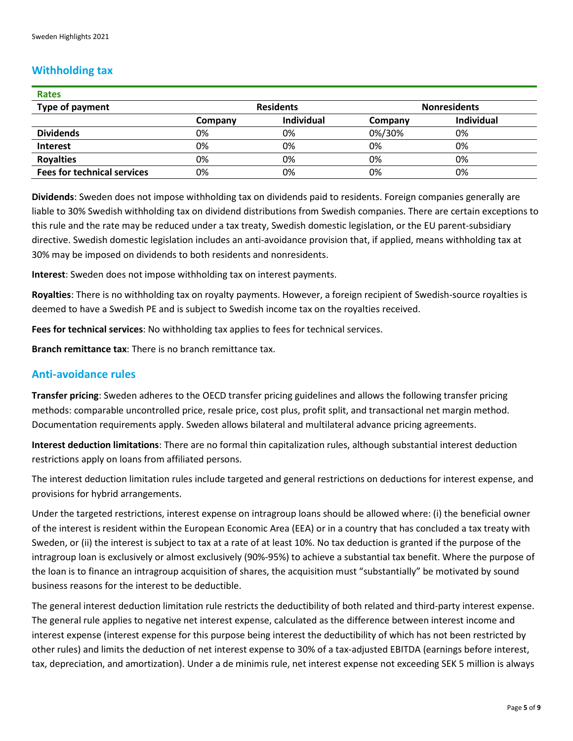# **Withholding tax**

| <b>Rates</b>                       |                  |                   |                     |                   |
|------------------------------------|------------------|-------------------|---------------------|-------------------|
| <b>Type of payment</b>             | <b>Residents</b> |                   | <b>Nonresidents</b> |                   |
|                                    | Company          | <b>Individual</b> | Company             | <b>Individual</b> |
| <b>Dividends</b>                   | 0%               | 0%                | 0%/30%              | 0%                |
| <b>Interest</b>                    | 0%               | 0%                | 0%                  | 0%                |
| <b>Royalties</b>                   | 0%               | 0%                | 0%                  | 0%                |
| <b>Fees for technical services</b> | 0%               | 0%                | 0%                  | 0%                |

**Dividends**: Sweden does not impose withholding tax on dividends paid to residents. Foreign companies generally are liable to 30% Swedish withholding tax on dividend distributions from Swedish companies. There are certain exceptions to this rule and the rate may be reduced under a tax treaty, Swedish domestic legislation, or the EU parent-subsidiary directive. Swedish domestic legislation includes an anti-avoidance provision that, if applied, means withholding tax at 30% may be imposed on dividends to both residents and nonresidents.

**Interest**: Sweden does not impose withholding tax on interest payments.

**Royalties**: There is no withholding tax on royalty payments. However, a foreign recipient of Swedish-source royalties is deemed to have a Swedish PE and is subject to Swedish income tax on the royalties received.

**Fees for technical services**: No withholding tax applies to fees for technical services.

**Branch remittance tax**: There is no branch remittance tax.

# **Anti-avoidance rules**

**Transfer pricing**: Sweden adheres to the OECD transfer pricing guidelines and allows the following transfer pricing methods: comparable uncontrolled price, resale price, cost plus, profit split, and transactional net margin method. Documentation requirements apply. Sweden allows bilateral and multilateral advance pricing agreements.

**Interest deduction limitations**: There are no formal thin capitalization rules, although substantial interest deduction restrictions apply on loans from affiliated persons.

The interest deduction limitation rules include targeted and general restrictions on deductions for interest expense, and provisions for hybrid arrangements.

Under the targeted restrictions, interest expense on intragroup loans should be allowed where: (i) the beneficial owner of the interest is resident within the European Economic Area (EEA) or in a country that has concluded a tax treaty with Sweden, or (ii) the interest is subject to tax at a rate of at least 10%. No tax deduction is granted if the purpose of the intragroup loan is exclusively or almost exclusively (90%-95%) to achieve a substantial tax benefit. Where the purpose of the loan is to finance an intragroup acquisition of shares, the acquisition must "substantially" be motivated by sound business reasons for the interest to be deductible.

The general interest deduction limitation rule restricts the deductibility of both related and third-party interest expense. The general rule applies to negative net interest expense, calculated as the difference between interest income and interest expense (interest expense for this purpose being interest the deductibility of which has not been restricted by other rules) and limits the deduction of net interest expense to 30% of a tax-adjusted EBITDA (earnings before interest, tax, depreciation, and amortization). Under a de minimis rule, net interest expense not exceeding SEK 5 million is always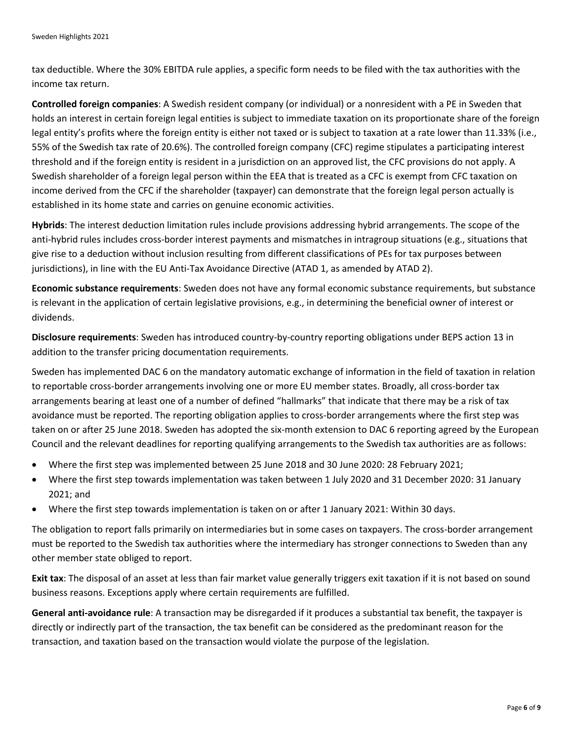tax deductible. Where the 30% EBITDA rule applies, a specific form needs to be filed with the tax authorities with the income tax return.

**Controlled foreign companies**: A Swedish resident company (or individual) or a nonresident with a PE in Sweden that holds an interest in certain foreign legal entities is subject to immediate taxation on its proportionate share of the foreign legal entity's profits where the foreign entity is either not taxed or is subject to taxation at a rate lower than 11.33% (i.e., 55% of the Swedish tax rate of 20.6%). The controlled foreign company (CFC) regime stipulates a participating interest threshold and if the foreign entity is resident in a jurisdiction on an approved list, the CFC provisions do not apply. A Swedish shareholder of a foreign legal person within the EEA that is treated as a CFC is exempt from CFC taxation on income derived from the CFC if the shareholder (taxpayer) can demonstrate that the foreign legal person actually is established in its home state and carries on genuine economic activities.

**Hybrids**: The interest deduction limitation rules include provisions addressing hybrid arrangements. The scope of the anti-hybrid rules includes cross-border interest payments and mismatches in intragroup situations (e.g., situations that give rise to a deduction without inclusion resulting from different classifications of PEs for tax purposes between jurisdictions), in line with the EU Anti-Tax Avoidance Directive (ATAD 1, as amended by ATAD 2).

**Economic substance requirements**: Sweden does not have any formal economic substance requirements, but substance is relevant in the application of certain legislative provisions, e.g., in determining the beneficial owner of interest or dividends.

**Disclosure requirements**: Sweden has introduced country-by-country reporting obligations under BEPS action 13 in addition to the transfer pricing documentation requirements.

Sweden has implemented DAC 6 on the mandatory automatic exchange of information in the field of taxation in relation to reportable cross-border arrangements involving one or more EU member states. Broadly, all cross-border tax arrangements bearing at least one of a number of defined "hallmarks" that indicate that there may be a risk of tax avoidance must be reported. The reporting obligation applies to cross-border arrangements where the first step was taken on or after 25 June 2018. Sweden has adopted the six-month extension to DAC 6 reporting agreed by the European Council and the relevant deadlines for reporting qualifying arrangements to the Swedish tax authorities are as follows:

- Where the first step was implemented between 25 June 2018 and 30 June 2020: 28 February 2021;
- Where the first step towards implementation was taken between 1 July 2020 and 31 December 2020: 31 January 2021; and
- Where the first step towards implementation is taken on or after 1 January 2021: Within 30 days.

The obligation to report falls primarily on intermediaries but in some cases on taxpayers. The cross-border arrangement must be reported to the Swedish tax authorities where the intermediary has stronger connections to Sweden than any other member state obliged to report.

**Exit tax**: The disposal of an asset at less than fair market value generally triggers exit taxation if it is not based on sound business reasons. Exceptions apply where certain requirements are fulfilled.

**General anti-avoidance rule**: A transaction may be disregarded if it produces a substantial tax benefit, the taxpayer is directly or indirectly part of the transaction, the tax benefit can be considered as the predominant reason for the transaction, and taxation based on the transaction would violate the purpose of the legislation.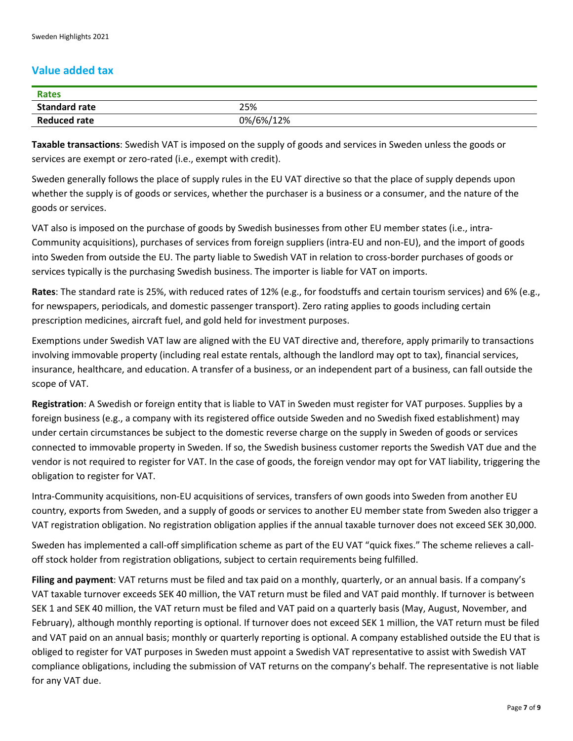# **Value added tax**

| <b>Rates</b>         |           |
|----------------------|-----------|
| <b>Standard rate</b> | 25%       |
| <b>Reduced rate</b>  | 0%/6%/12% |

**Taxable transactions**: Swedish VAT is imposed on the supply of goods and services in Sweden unless the goods or services are exempt or zero-rated (i.e., exempt with credit).

Sweden generally follows the place of supply rules in the EU VAT directive so that the place of supply depends upon whether the supply is of goods or services, whether the purchaser is a business or a consumer, and the nature of the goods or services.

VAT also is imposed on the purchase of goods by Swedish businesses from other EU member states (i.e., intra-Community acquisitions), purchases of services from foreign suppliers (intra-EU and non-EU), and the import of goods into Sweden from outside the EU. The party liable to Swedish VAT in relation to cross-border purchases of goods or services typically is the purchasing Swedish business. The importer is liable for VAT on imports.

**Rates**: The standard rate is 25%, with reduced rates of 12% (e.g., for foodstuffs and certain tourism services) and 6% (e.g., for newspapers, periodicals, and domestic passenger transport). Zero rating applies to goods including certain prescription medicines, aircraft fuel, and gold held for investment purposes.

Exemptions under Swedish VAT law are aligned with the EU VAT directive and, therefore, apply primarily to transactions involving immovable property (including real estate rentals, although the landlord may opt to tax), financial services, insurance, healthcare, and education. A transfer of a business, or an independent part of a business, can fall outside the scope of VAT.

**Registration**: A Swedish or foreign entity that is liable to VAT in Sweden must register for VAT purposes. Supplies by a foreign business (e.g., a company with its registered office outside Sweden and no Swedish fixed establishment) may under certain circumstances be subject to the domestic reverse charge on the supply in Sweden of goods or services connected to immovable property in Sweden. If so, the Swedish business customer reports the Swedish VAT due and the vendor is not required to register for VAT. In the case of goods, the foreign vendor may opt for VAT liability, triggering the obligation to register for VAT.

Intra-Community acquisitions, non-EU acquisitions of services, transfers of own goods into Sweden from another EU country, exports from Sweden, and a supply of goods or services to another EU member state from Sweden also trigger a VAT registration obligation. No registration obligation applies if the annual taxable turnover does not exceed SEK 30,000.

Sweden has implemented a call-off simplification scheme as part of the EU VAT "quick fixes." The scheme relieves a calloff stock holder from registration obligations, subject to certain requirements being fulfilled.

**Filing and payment**: VAT returns must be filed and tax paid on a monthly, quarterly, or an annual basis. If a company's VAT taxable turnover exceeds SEK 40 million, the VAT return must be filed and VAT paid monthly. If turnover is between SEK 1 and SEK 40 million, the VAT return must be filed and VAT paid on a quarterly basis (May, August, November, and February), although monthly reporting is optional. If turnover does not exceed SEK 1 million, the VAT return must be filed and VAT paid on an annual basis; monthly or quarterly reporting is optional. A company established outside the EU that is obliged to register for VAT purposes in Sweden must appoint a Swedish VAT representative to assist with Swedish VAT compliance obligations, including the submission of VAT returns on the company's behalf. The representative is not liable for any VAT due.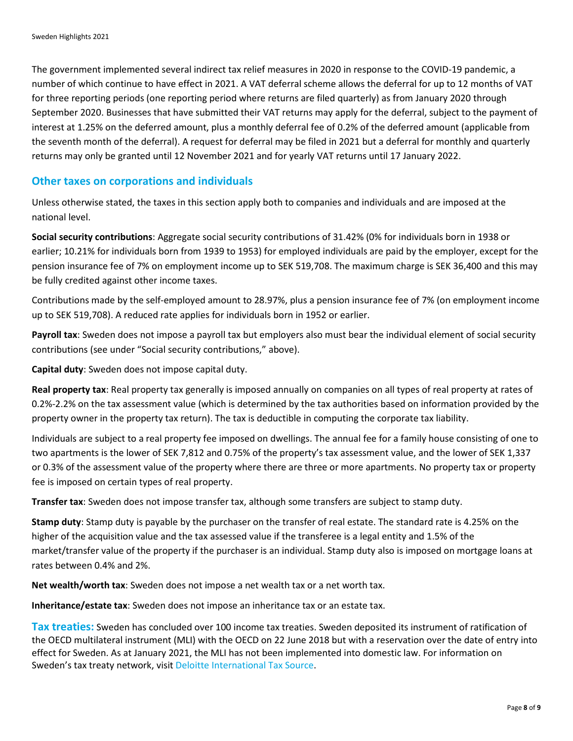The government implemented several indirect tax relief measures in 2020 in response to the COVID-19 pandemic, a number of which continue to have effect in 2021. A VAT deferral scheme allows the deferral for up to 12 months of VAT for three reporting periods (one reporting period where returns are filed quarterly) as from January 2020 through September 2020. Businesses that have submitted their VAT returns may apply for the deferral, subject to the payment of interest at 1.25% on the deferred amount, plus a monthly deferral fee of 0.2% of the deferred amount (applicable from the seventh month of the deferral). A request for deferral may be filed in 2021 but a deferral for monthly and quarterly returns may only be granted until 12 November 2021 and for yearly VAT returns until 17 January 2022.

# **Other taxes on corporations and individuals**

Unless otherwise stated, the taxes in this section apply both to companies and individuals and are imposed at the national level.

**Social security contributions**: Aggregate social security contributions of 31.42% (0% for individuals born in 1938 or earlier; 10.21% for individuals born from 1939 to 1953) for employed individuals are paid by the employer, except for the pension insurance fee of 7% on employment income up to SEK 519,708. The maximum charge is SEK 36,400 and this may be fully credited against other income taxes.

Contributions made by the self-employed amount to 28.97%, plus a pension insurance fee of 7% (on employment income up to SEK 519,708). A reduced rate applies for individuals born in 1952 or earlier.

**Payroll tax**: Sweden does not impose a payroll tax but employers also must bear the individual element of social security contributions (see under "Social security contributions," above).

**Capital duty**: Sweden does not impose capital duty.

**Real property tax**: Real property tax generally is imposed annually on companies on all types of real property at rates of 0.2%-2.2% on the tax assessment value (which is determined by the tax authorities based on information provided by the property owner in the property tax return). The tax is deductible in computing the corporate tax liability.

Individuals are subject to a real property fee imposed on dwellings. The annual fee for a family house consisting of one to two apartments is the lower of SEK 7,812 and 0.75% of the property's tax assessment value, and the lower of SEK 1,337 or 0.3% of the assessment value of the property where there are three or more apartments. No property tax or property fee is imposed on certain types of real property.

**Transfer tax**: Sweden does not impose transfer tax, although some transfers are subject to stamp duty.

**Stamp duty**: Stamp duty is payable by the purchaser on the transfer of real estate. The standard rate is 4.25% on the higher of the acquisition value and the tax assessed value if the transferee is a legal entity and 1.5% of the market/transfer value of the property if the purchaser is an individual. Stamp duty also is imposed on mortgage loans at rates between 0.4% and 2%.

**Net wealth/worth tax**: Sweden does not impose a net wealth tax or a net worth tax.

**Inheritance/estate tax**: Sweden does not impose an inheritance tax or an estate tax.

**Tax treaties:** Sweden has concluded over 100 income tax treaties. Sweden deposited its instrument of ratification of the OECD multilateral instrument (MLI) with the OECD on 22 June 2018 but with a reservation over the date of entry into effect for Sweden. As at January 2021, the MLI has not been implemented into domestic law. For information on Sweden's tax treaty network, visi[t Deloitte International Tax Source.](https://dits.deloitte.com/#Jurisdiction/15)